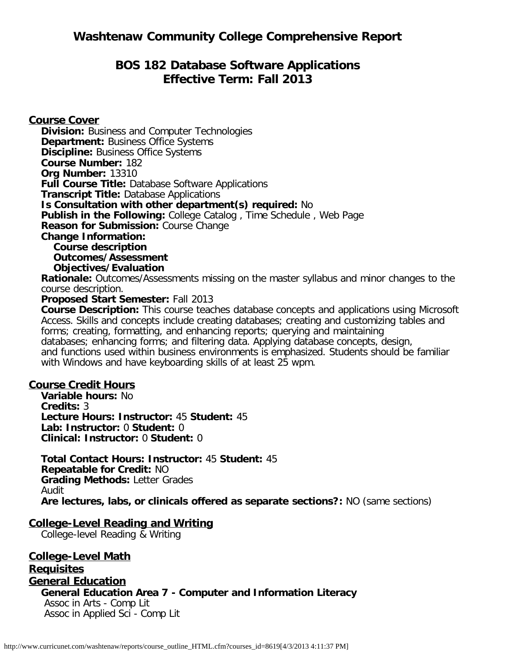# **BOS 182 Database Software Applications Effective Term: Fall 2013**

**Course Cover Division:** Business and Computer Technologies **Department: Business Office Systems Discipline: Business Office Systems Course Number:** 182 **Org Number:** 13310 **Full Course Title:** Database Software Applications **Transcript Title:** Database Applications **Is Consultation with other department(s) required:** No **Publish in the Following:** College Catalog , Time Schedule , Web Page **Reason for Submission:** Course Change **Change Information: Course description Outcomes/Assessment Objectives/Evaluation Rationale:** Outcomes/Assessments missing on the master syllabus and minor changes to the course description. **Proposed Start Semester:** Fall 2013

**Course Description:** This course teaches database concepts and applications using Microsoft Access. Skills and concepts include creating databases; creating and customizing tables and forms; creating, formatting, and enhancing reports; querying and maintaining databases; enhancing forms; and filtering data. Applying database concepts, design, and functions used within business environments is emphasized. Students should be familiar with Windows and have keyboarding skills of at least 25 wpm.

#### **Course Credit Hours**

**Variable hours:** No **Credits:** 3 **Lecture Hours: Instructor:** 45 **Student:** 45 **Lab: Instructor:** 0 **Student:** 0 **Clinical: Instructor:** 0 **Student:** 0

**Total Contact Hours: Instructor:** 45 **Student:** 45 **Repeatable for Credit:** NO **Grading Methods:** Letter Grades Audit **Are lectures, labs, or clinicals offered as separate sections?:** NO (same sections)

#### **College-Level Reading and Writing**

College-level Reading & Writing

**College-Level Math Requisites General Education General Education Area 7 - Computer and Information Literacy** Assoc in Arts - Comp Lit Assoc in Applied Sci - Comp Lit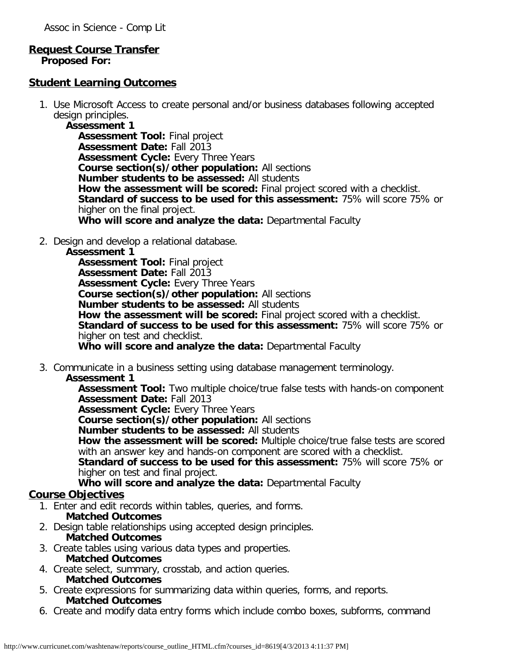#### **Request Course Transfer Proposed For:**

#### **Student Learning Outcomes**

1. Use Microsoft Access to create personal and/or business databases following accepted design principles.

**Assessment 1 Assessment Tool:** Final project **Assessment Date:** Fall 2013 **Assessment Cycle:** Every Three Years **Course section(s)/other population:** All sections **Number students to be assessed:** All students **How the assessment will be scored:** Final project scored with a checklist. **Standard of success to be used for this assessment:** 75% will score 75% or higher on the final project. **Who will score and analyze the data:** Departmental Faculty

2. Design and develop a relational database.

#### **Assessment 1**

**Assessment Tool:** Final project **Assessment Date:** Fall 2013 **Assessment Cycle:** Every Three Years **Course section(s)/other population:** All sections **Number students to be assessed:** All students **How the assessment will be scored:** Final project scored with a checklist. **Standard of success to be used for this assessment:** 75% will score 75% or higher on test and checklist. **Who will score and analyze the data:** Departmental Faculty

3. Communicate in a business setting using database management terminology.

### **Assessment 1**

**Assessment Tool:** Two multiple choice/true false tests with hands-on component **Assessment Date:** Fall 2013

**Assessment Cycle: Every Three Years** 

**Course section(s)/other population:** All sections

**Number students to be assessed:** All students

**How the assessment will be scored:** Multiple choice/true false tests are scored with an answer key and hands-on component are scored with a checklist.

**Standard of success to be used for this assessment:** 75% will score 75% or higher on test and final project.

**Who will score and analyze the data:** Departmental Faculty

## **Course Objectives**

- 1. Enter and edit records within tables, queries, and forms.
	- **Matched Outcomes**
- 2. Design table relationships using accepted design principles. **Matched Outcomes**
- 3. Create tables using various data types and properties. **Matched Outcomes**
- 4. Create select, summary, crosstab, and action queries.
- **Matched Outcomes**
- 5. Create expressions for summarizing data within queries, forms, and reports. **Matched Outcomes**
- 6. Create and modify data entry forms which include combo boxes, subforms, command